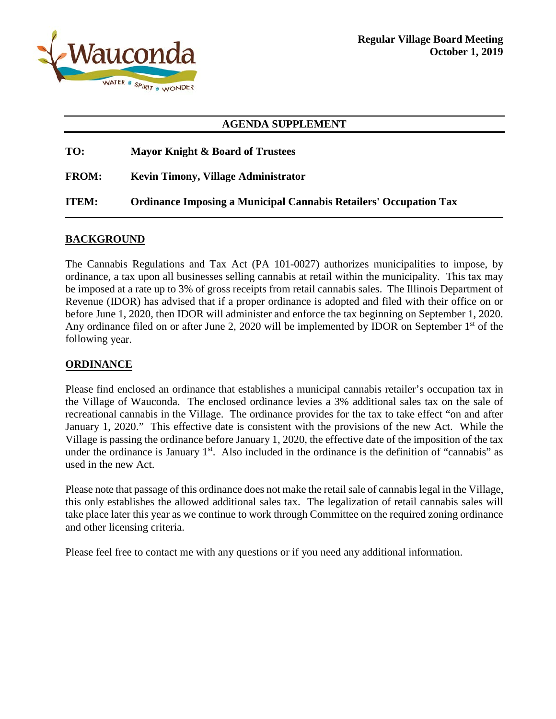

#### **AGENDA SUPPLEMENT**

| TO:          | Mayor Knight & Board of Trustees                                         |
|--------------|--------------------------------------------------------------------------|
| <b>FROM:</b> | <b>Kevin Timony, Village Administrator</b>                               |
| <b>ITEM:</b> | <b>Ordinance Imposing a Municipal Cannabis Retailers' Occupation Tax</b> |

#### **BACKGROUND**

The Cannabis Regulations and Tax Act (PA 101-0027) authorizes municipalities to impose, by ordinance, a tax upon all businesses selling cannabis at retail within the municipality. This tax may be imposed at a rate up to 3% of gross receipts from retail cannabis sales. The Illinois Department of Revenue (IDOR) has advised that if a proper ordinance is adopted and filed with their office on or before June 1, 2020, then IDOR will administer and enforce the tax beginning on September 1, 2020. Any ordinance filed on or after June 2, 2020 will be implemented by IDOR on September 1<sup>st</sup> of the following year.

#### **ORDINANCE**

Please find enclosed an ordinance that establishes a municipal cannabis retailer's occupation tax in the Village of Wauconda. The enclosed ordinance levies a 3% additional sales tax on the sale of recreational cannabis in the Village. The ordinance provides for the tax to take effect "on and after January 1, 2020." This effective date is consistent with the provisions of the new Act. While the Village is passing the ordinance before January 1, 2020, the effective date of the imposition of the tax under the ordinance is January 1<sup>st</sup>. Also included in the ordinance is the definition of "cannabis" as used in the new Act.

Please note that passage of this ordinance does not make the retail sale of cannabis legal in the Village, this only establishes the allowed additional sales tax. The legalization of retail cannabis sales will take place later this year as we continue to work through Committee on the required zoning ordinance and other licensing criteria.

Please feel free to contact me with any questions or if you need any additional information.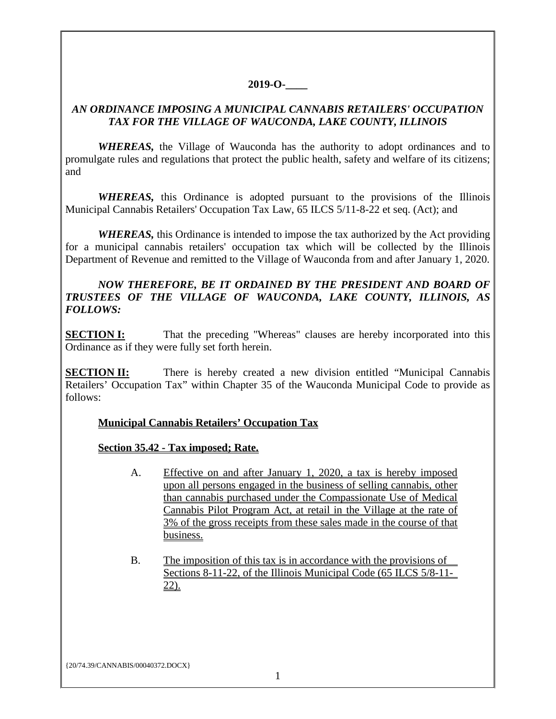## **2019-O-\_\_\_\_**

## *AN ORDINANCE IMPOSING A MUNICIPAL CANNABIS RETAILERS' OCCUPATION TAX FOR THE VILLAGE OF WAUCONDA, LAKE COUNTY, ILLINOIS*

*WHEREAS,* the Village of Wauconda has the authority to adopt ordinances and to promulgate rules and regulations that protect the public health, safety and welfare of its citizens; and

*WHEREAS,* this Ordinance is adopted pursuant to the provisions of the Illinois Municipal Cannabis Retailers' Occupation Tax Law, 65 ILCS 5/11-8-22 et seq. (Act); and

*WHEREAS,* this Ordinance is intended to impose the tax authorized by the Act providing for a municipal cannabis retailers' occupation tax which will be collected by the Illinois Department of Revenue and remitted to the Village of Wauconda from and after January 1, 2020.

#### *NOW THEREFORE, BE IT ORDAINED BY THE PRESIDENT AND BOARD OF TRUSTEES OF THE VILLAGE OF WAUCONDA, LAKE COUNTY, ILLINOIS, AS FOLLOWS:*

**SECTION I:** That the preceding "Whereas" clauses are hereby incorporated into this Ordinance as if they were fully set forth herein.

**SECTION II:** There is hereby created a new division entitled "Municipal Cannabis" Retailers' Occupation Tax" within Chapter 35 of the Wauconda Municipal Code to provide as follows:

## **Municipal Cannabis Retailers' Occupation Tax**

## **Section 35.42 - Tax imposed; Rate.**

- A. Effective on and after January 1, 2020, a tax is hereby imposed upon all persons engaged in the business of selling cannabis, other than cannabis purchased under the Compassionate Use of Medical Cannabis Pilot Program Act, at retail in the Village at the rate of 3% of the gross receipts from these sales made in the course of that business.
- B. The imposition of this tax is in accordance with the provisions of Sections 8-11-22, of the Illinois Municipal Code (65 ILCS 5/8-11- 22).

{20/74.39/CANNABIS/00040372.DOCX}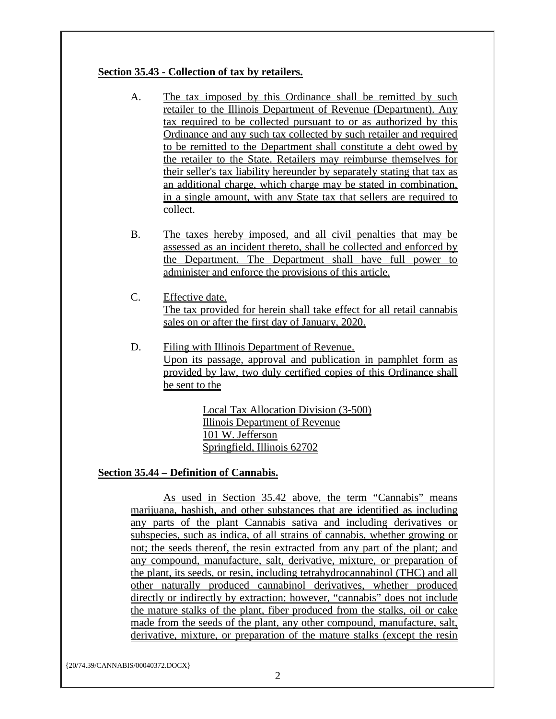## **Section 35.43 - Collection of tax by retailers.**

- A. The tax imposed by this Ordinance shall be remitted by such retailer to the Illinois Department of Revenue (Department). Any tax required to be collected pursuant to or as authorized by this Ordinance and any such tax collected by such retailer and required to be remitted to the Department shall constitute a debt owed by the retailer to the State. Retailers may reimburse themselves for their seller's tax liability hereunder by separately stating that tax as an additional charge, which charge may be stated in combination, in a single amount, with any State tax that sellers are required to collect.
- B. The taxes hereby imposed, and all civil penalties that may be assessed as an incident thereto, shall be collected and enforced by the Department. The Department shall have full power to administer and enforce the provisions of this article.
- C. Effective date. The tax provided for herein shall take effect for all retail cannabis sales on or after the first day of January, 2020.
- D. Filing with Illinois Department of Revenue. Upon its passage, approval and publication in pamphlet form as provided by law, two duly certified copies of this Ordinance shall be sent to the

Local Tax Allocation Division (3-500) Illinois Department of Revenue 101 W. Jefferson Springfield, Illinois 62702

# **Section 35.44 – Definition of Cannabis.**

As used in Section 35.42 above, the term "Cannabis" means marijuana, hashish, and other substances that are identified as including any parts of the plant Cannabis sativa and including derivatives or subspecies, such as indica, of all strains of cannabis, whether growing or not; the seeds thereof, the resin extracted from any part of the plant; and any compound, manufacture, salt, derivative, mixture, or preparation of the plant, its seeds, or resin, including tetrahydrocannabinol (THC) and all other naturally produced cannabinol derivatives, whether produced directly or indirectly by extraction; however, "cannabis" does not include the mature stalks of the plant, fiber produced from the stalks, oil or cake made from the seeds of the plant, any other compound, manufacture, salt, derivative, mixture, or preparation of the mature stalks (except the resin

{20/74.39/CANNABIS/00040372.DOCX}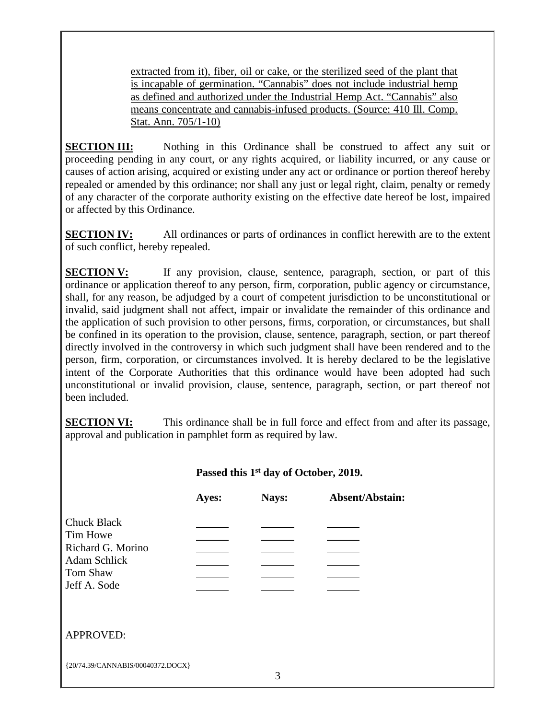extracted from it), fiber, oil or cake, or the sterilized seed of the plant that is incapable of germination. "Cannabis" does not include industrial hemp as defined and authorized under the Industrial Hemp Act. "Cannabis" also means concentrate and cannabis-infused products. (Source: 410 Ill. Comp. Stat. Ann. 705/1-10)

**SECTION III:** Nothing in this Ordinance shall be construed to affect any suit or proceeding pending in any court, or any rights acquired, or liability incurred, or any cause or causes of action arising, acquired or existing under any act or ordinance or portion thereof hereby repealed or amended by this ordinance; nor shall any just or legal right, claim, penalty or remedy of any character of the corporate authority existing on the effective date hereof be lost, impaired or affected by this Ordinance.

**SECTION IV:** All ordinances or parts of ordinances in conflict herewith are to the extent of such conflict, hereby repealed.

**SECTION V:** If any provision, clause, sentence, paragraph, section, or part of this ordinance or application thereof to any person, firm, corporation, public agency or circumstance, shall, for any reason, be adjudged by a court of competent jurisdiction to be unconstitutional or invalid, said judgment shall not affect, impair or invalidate the remainder of this ordinance and the application of such provision to other persons, firms, corporation, or circumstances, but shall be confined in its operation to the provision, clause, sentence, paragraph, section, or part thereof directly involved in the controversy in which such judgment shall have been rendered and to the person, firm, corporation, or circumstances involved. It is hereby declared to be the legislative intent of the Corporate Authorities that this ordinance would have been adopted had such unconstitutional or invalid provision, clause, sentence, paragraph, section, or part thereof not been included.

**SECTION VI:** This ordinance shall be in full force and effect from and after its passage, approval and publication in pamphlet form as required by law.

## **Passed this 1st day of October, 2019. Ayes: Nays: Absent/Abstain:** Chuck Black Tim Howe Richard G. Morino  $\mathcal{L}(\mathcal{L})$ Adam Schlick  $\overline{\phantom{a}}$ Tom Shaw <u> 1990 - Jan Jawa</u>  $\frac{1}{2}$  and  $\frac{1}{2}$  and  $\frac{1}{2}$ Jeff A. Sode APPROVED:{20/74.39/CANNABIS/00040372.DOCX}